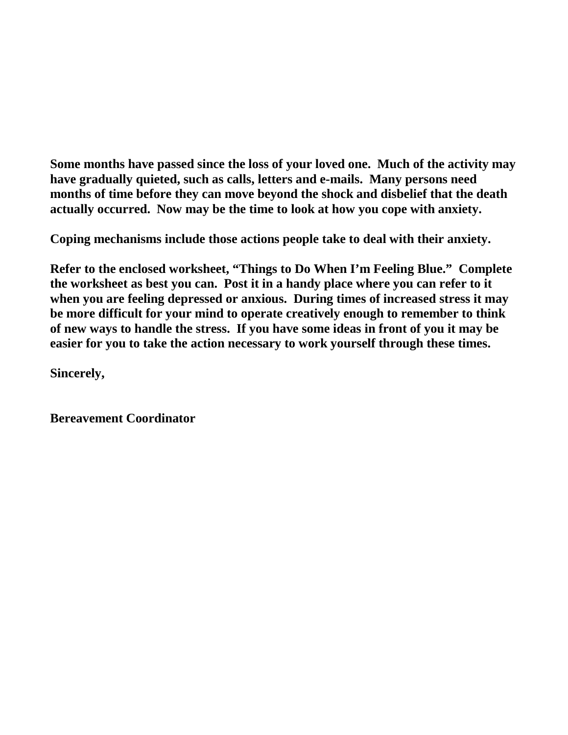**Some months have passed since the loss of your loved one. Much of the activity may have gradually quieted, such as calls, letters and e-mails. Many persons need months of time before they can move beyond the shock and disbelief that the death actually occurred. Now may be the time to look at how you cope with anxiety.**

**Coping mechanisms include those actions people take to deal with their anxiety.** 

**Refer to the enclosed worksheet, "Things to Do When I'm Feeling Blue." Complete the worksheet as best you can. Post it in a handy place where you can refer to it when you are feeling depressed or anxious. During times of increased stress it may be more difficult for your mind to operate creatively enough to remember to think of new ways to handle the stress. If you have some ideas in front of you it may be easier for you to take the action necessary to work yourself through these times.**

**Sincerely,**

**Bereavement Coordinator**